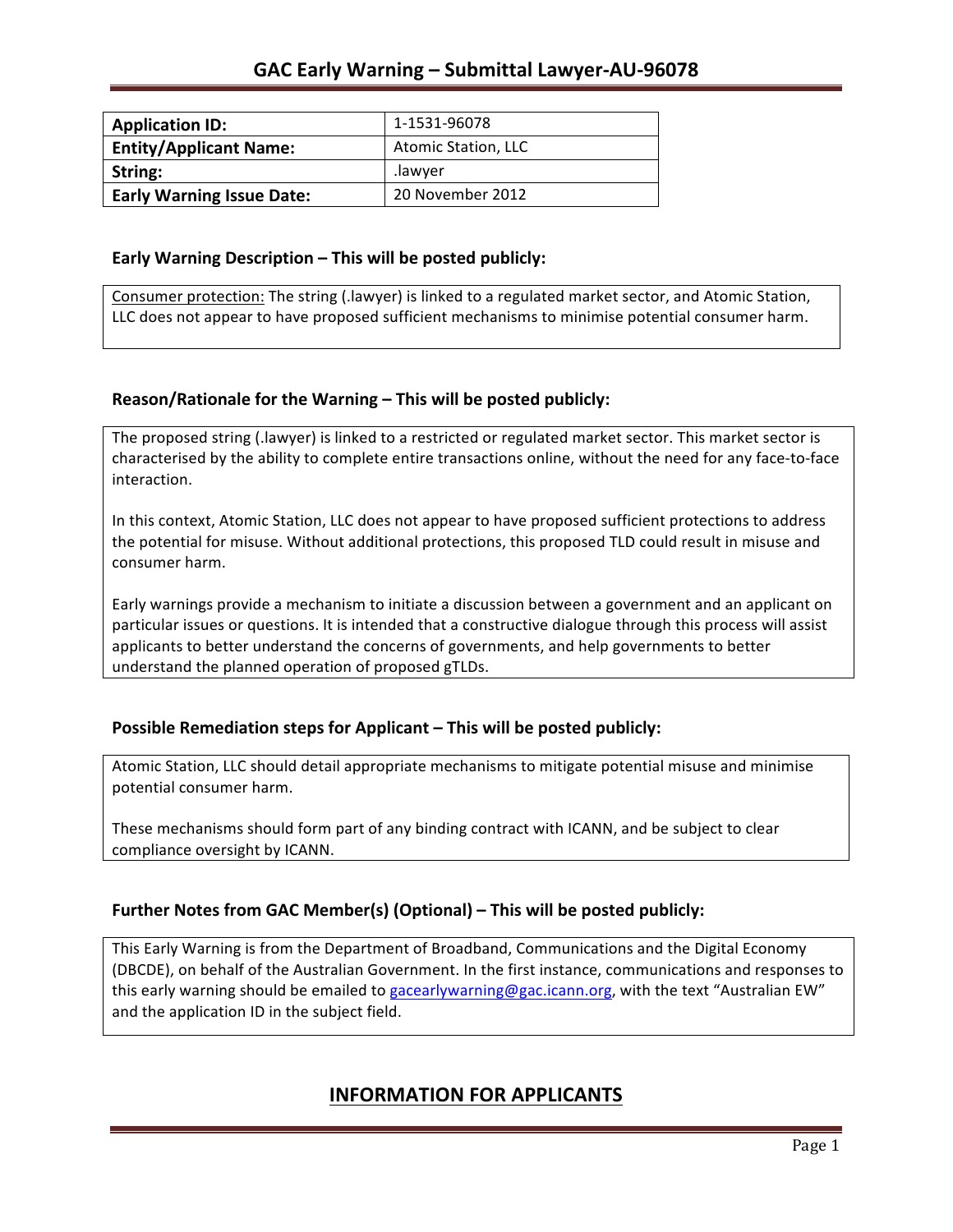| <b>Application ID:</b>           | 1-1531-96078               |
|----------------------------------|----------------------------|
| <b>Entity/Applicant Name:</b>    | <b>Atomic Station, LLC</b> |
| String:                          | .lawver                    |
| <b>Early Warning Issue Date:</b> | 20 November 2012           |

### **Early Warning Description – This will be posted publicly:**

Consumer protection: The string (.lawyer) is linked to a regulated market sector, and Atomic Station, LLC does not appear to have proposed sufficient mechanisms to minimise potential consumer harm.

## **Reason/Rationale for the Warning – This will be posted publicly:**

The proposed string (.lawyer) is linked to a restricted or regulated market sector. This market sector is characterised by the ability to complete entire transactions online, without the need for any face-to-face interaction.

In this context, Atomic Station, LLC does not appear to have proposed sufficient protections to address the potential for misuse. Without additional protections, this proposed TLD could result in misuse and consumer harm.

Early warnings provide a mechanism to initiate a discussion between a government and an applicant on particular issues or questions. It is intended that a constructive dialogue through this process will assist applicants to better understand the concerns of governments, and help governments to better understand the planned operation of proposed gTLDs.

## **Possible Remediation steps for Applicant – This will be posted publicly:**

Atomic Station, LLC should detail appropriate mechanisms to mitigate potential misuse and minimise potential consumer harm.

These mechanisms should form part of any binding contract with ICANN, and be subject to clear compliance oversight by ICANN.

## **Further Notes from GAC Member(s) (Optional)** – This will be posted publicly:

This Early Warning is from the Department of Broadband, Communications and the Digital Economy (DBCDE), on behalf of the Australian Government. In the first instance, communications and responses to this early warning should be emailed to gacearlywarning@gac.icann.org, with the text "Australian EW" and the application ID in the subject field.

## **INFORMATION FOR APPLICANTS**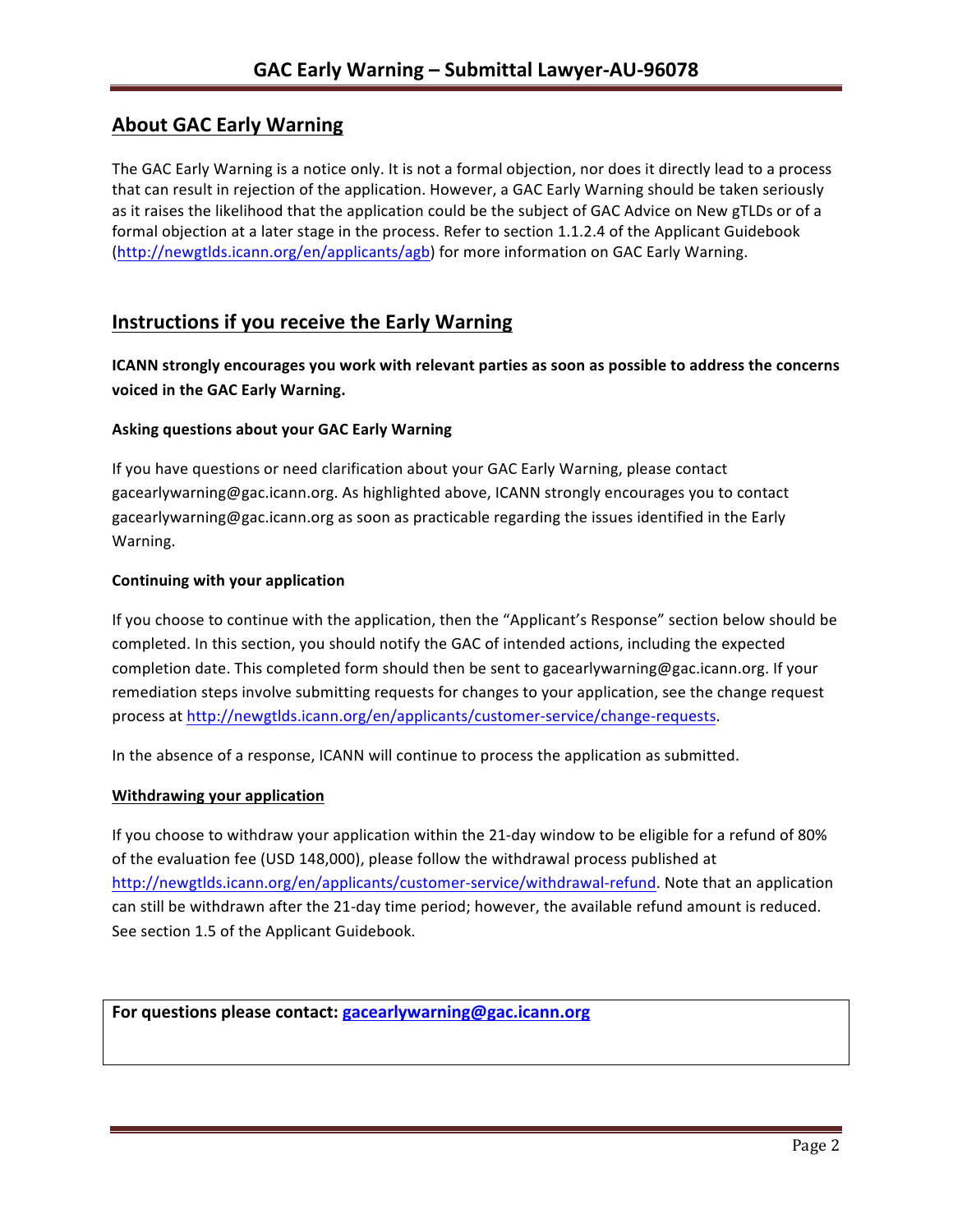# **About GAC Early Warning**

The GAC Early Warning is a notice only. It is not a formal objection, nor does it directly lead to a process that can result in rejection of the application. However, a GAC Early Warning should be taken seriously as it raises the likelihood that the application could be the subject of GAC Advice on New gTLDs or of a formal objection at a later stage in the process. Refer to section 1.1.2.4 of the Applicant Guidebook (http://newgtlds.icann.org/en/applicants/agb) for more information on GAC Early Warning.

## **Instructions if you receive the Early Warning**

**ICANN** strongly encourages you work with relevant parties as soon as possible to address the concerns **voiced in the GAC Early Warning.** 

### **Asking questions about your GAC Early Warning**

If you have questions or need clarification about your GAC Early Warning, please contact gacearlywarning@gac.icann.org. As highlighted above, ICANN strongly encourages you to contact gacearlywarning@gac.icann.org as soon as practicable regarding the issues identified in the Early Warning. 

#### **Continuing with your application**

If you choose to continue with the application, then the "Applicant's Response" section below should be completed. In this section, you should notify the GAC of intended actions, including the expected completion date. This completed form should then be sent to gacearlywarning@gac.icann.org. If your remediation steps involve submitting requests for changes to your application, see the change request process at http://newgtlds.icann.org/en/applicants/customer-service/change-requests.

In the absence of a response, ICANN will continue to process the application as submitted.

#### **Withdrawing your application**

If you choose to withdraw your application within the 21-day window to be eligible for a refund of 80% of the evaluation fee (USD 148,000), please follow the withdrawal process published at http://newgtlds.icann.org/en/applicants/customer-service/withdrawal-refund. Note that an application can still be withdrawn after the 21-day time period; however, the available refund amount is reduced. See section 1.5 of the Applicant Guidebook.

```
For questions please contact: gacearlywarning@gac.icann.org
```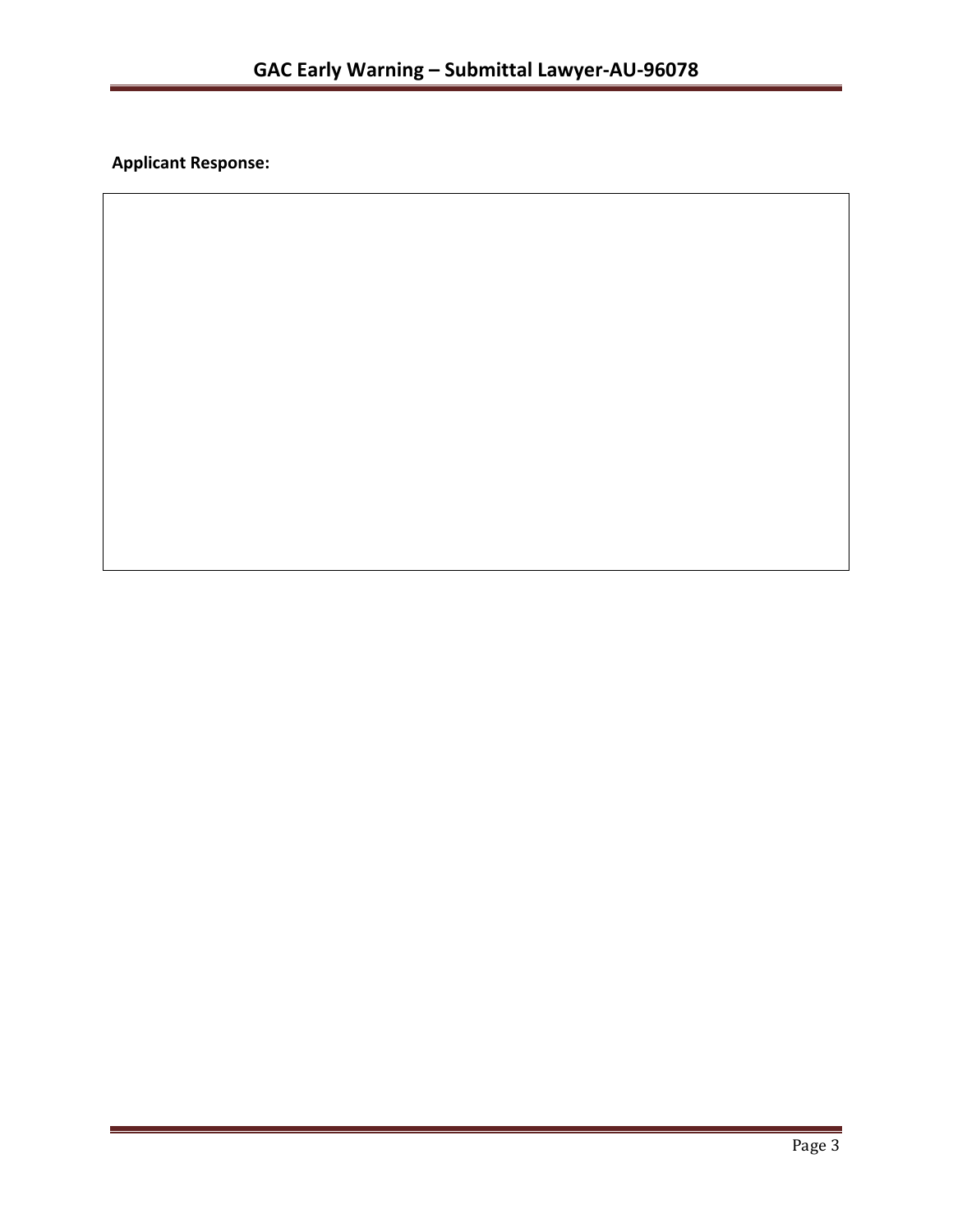**Applicant Response:**